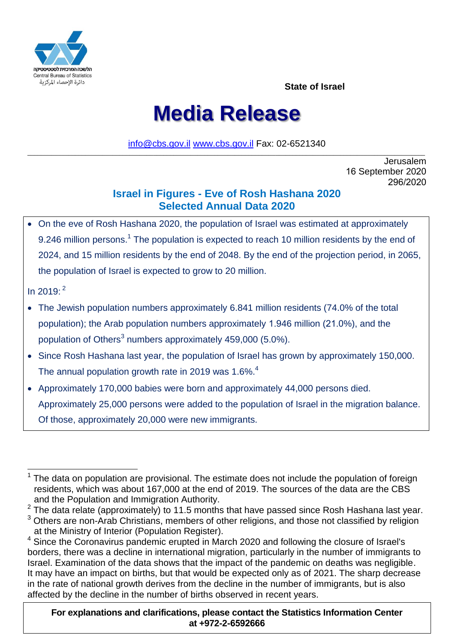

**State of Israel**

# **Media Release**

[info@cbs.gov.il](mailto:info@cbs.gov.il) [www.cbs.gov.il](https://www.cbs.gov.il/) Fax: 02-6521340  $\_$  , and the set of the set of the set of the set of the set of the set of the set of the set of the set of the set of the set of the set of the set of the set of the set of the set of the set of the set of the set of th

> Jerusalem 16 September 2020 296/2020

# **Israel in Figures - Eve of Rosh Hashana 2020 Selected Annual Data 2020**

 On the eve of Rosh Hashana 2020, the population of Israel was estimated at approximately 9.246 million persons.<sup>1</sup> The population is expected to reach 10 million residents by the end of 2024, and 15 million residents by the end of 2048. By the end of the projection period, in 2065, the population of Israel is expected to grow to 20 million.

In 2019: 2

- The Jewish population numbers approximately 6.841 million residents (74.0% of the total population); the Arab population numbers approximately 1.946 million (21.0%), and the population of Others<sup>3</sup> numbers approximately 459,000 (5.0%).
- Since Rosh Hashana last year, the population of Israel has grown by approximately 150,000. The annual population growth rate in 2019 was 1.6%.<sup>4</sup>
- Approximately 170,000 babies were born and approximately 44,000 persons died. Approximately 25,000 persons were added to the population of Israel in the migration balance. Of those, approximately 20,000 were new immigrants.

**For explanations and clarifications, please contact the Statistics Information Center at +972-2-6592666**

 1 The data on population are provisional. The estimate does not include the population of foreign residents, which was about 167,000 at the end of 2019. The sources of the data are the CBS and the Population and Immigration Authority.

 $2$  The data relate (approximately) to 11.5 months that have passed since Rosh Hashana last year.

 $3$  Others are non-Arab Christians, members of other religions, and those not classified by religion at the Ministry of Interior (Population Register).

<sup>4</sup> Since the Coronavirus pandemic erupted in March 2020 and following the closure of Israel's borders, there was a decline in international migration, particularly in the number of immigrants to Israel. Examination of the data shows that the impact of the pandemic on deaths was negligible. It may have an impact on births, but that would be expected only as of 2021. The sharp decrease in the rate of national growth derives from the decline in the number of immigrants, but is also affected by the decline in the number of births observed in recent years.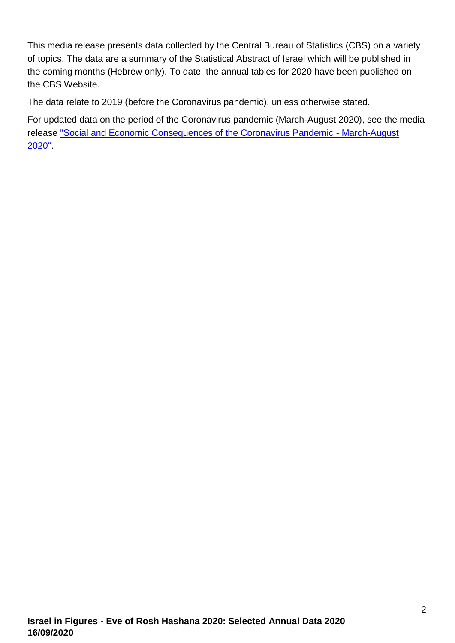This media release presents data collected by the Central Bureau of Statistics (CBS) on a variety of topics. The data are a summary of the Statistical Abstract of Israel which will be published in the coming months (Hebrew only). To date, the annual tables for 2020 have been published on the CBS Website.

The data relate to 2019 (before the Coronavirus pandemic), unless otherwise stated.

For updated data on the period of the Coronavirus pandemic (March-August 2020), see the media release ["Social and Economic Consequences of the Coronavirus Pandemic -](https://www.cbs.gov.il/en/mediarelease/Pages/2020/Social-and-Economic-Consequences-of-the-Coronavirus-Pandemic-Summary-March-August-2020.aspx) March-August [2020".](https://www.cbs.gov.il/en/mediarelease/Pages/2020/Social-and-Economic-Consequences-of-the-Coronavirus-Pandemic-Summary-March-August-2020.aspx)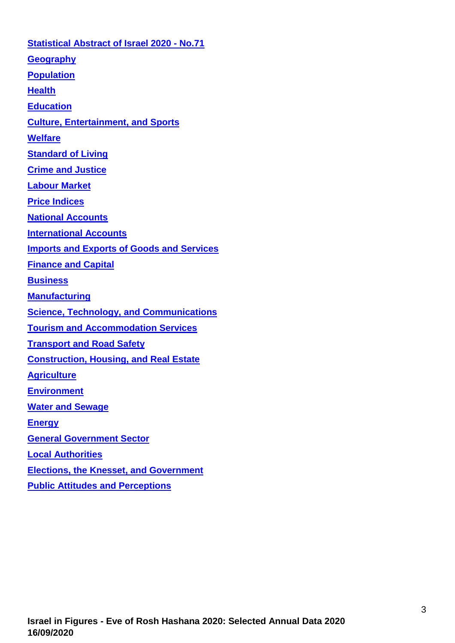**[Statistical Abstract of Israel 2020 -](https://www.cbs.gov.il/en/publications/Pages/2020/Statistical-Abstract-of-Israel-2020-No-71.aspx) No.71 [Geography](#page-3-0) [Population](#page-3-1) [Health](#page-5-0) [Education](#page-6-0) [Culture, Entertainment,](#page-9-0) and Sports [Welfare](#page-11-0) [Standard of Living](#page-12-0) Crime and Justice [Labour Market](#page-14-0) [Price Indices](#page-16-0) [National Accounts](#page-17-0) [International Accounts](#page-18-0) [Imports and Exports of Goods and Services](#page-19-0) [Finance and Capital](#page-20-0)  [Business](#page-20-1) [Manufacturing](#page-21-0) [Science, Technology,](#page-22-0) and Communications [Tourism and Accommodation Services](#page-23-0) Transport [and Road Safety](#page-24-0) [Construction, Housing,](#page-26-0) and Real Estate [Agriculture](#page-27-0) [Environment](#page-28-0) [Water and Sewage](#page-30-0) [Energy](#page-30-1) [General Government Sector](#page-32-0) [Local Authorities](#page-32-1) [Elections, the Knesset,](#page-34-0) and Government [Public Attitudes](#page-34-1) and Perceptions**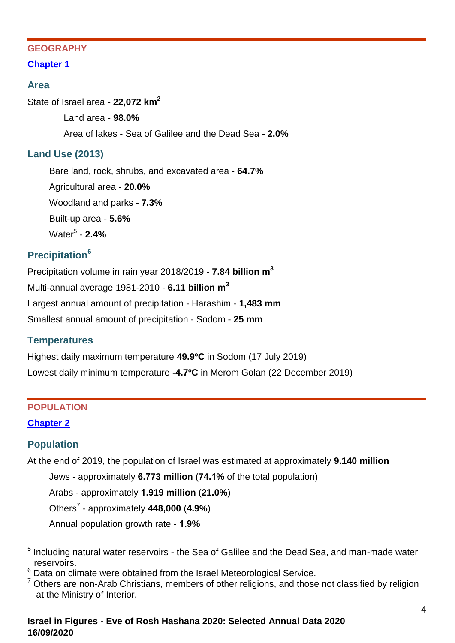#### <span id="page-3-0"></span>**GEOGRAPHY**

# **[Chapter 1](https://www.cbs.gov.il/en/publications/Pages/2020/Geography-Statistical-Abstract-of-Israel-2019-No.-71.aspx)**

# **Area**

State of Israel area - **22,072 km<sup>2</sup>**

Land area - **98.0%** Area of lakes - Sea of Galilee and the Dead Sea - **2.0%**

# **Land Use (2013)**

Bare land, rock, shrubs, and excavated area - **64.7%** Agricultural area - **20.0%** Woodland and parks - **7.3%** Built-up area - **5.6%** Water<sup>5</sup> - **2.4%**

# **Precipitation<sup>6</sup>**

Precipitation volume in rain year 2018/2019 - **7.84 billion m 3** Multi-annual average 1981-2010 - **6.11 billion m 3** Largest annual amount of precipitation - Harashim - **1,483 mm** Smallest annual amount of precipitation - Sodom - **25 mm**

# **Temperatures**

Highest daily maximum temperature **49.9ºC** in Sodom (17 July 2019) Lowest daily minimum temperature **-4.7ºC** in Merom Golan (22 December 2019)

#### <span id="page-3-1"></span>**POPULATION**

# **[Chapter 2](https://www.cbs.gov.il/en/publications/Pages/2020/Population-Statistical-Abstract-of-Israel-2020-No-71.aspx)**

# **Population**

At the end of 2019, the population of Israel was estimated at approximately **9.140 million**

Jews - approximately **6.773 million** (**74.1%** of the total population)

Arabs - approximately **1.919 million** (**21.0%**)

Others<sup>7</sup> - approximately **448,000** (**4.9%**)

Annual population growth rate - **1.9%**

\_\_\_\_\_\_\_\_\_\_\_\_\_\_\_\_\_\_\_\_\_\_\_\_\_\_\_\_\_\_\_\_<br><sup>5</sup> Including natural water reservoirs - the Sea of Galilee and the Dead Sea, and man-made water <sub>\_</sub> reservoirs.

<sup>&</sup>lt;sup>6</sup> Data on climate were obtained from the Israel Meteorological Service.

 $7$  Others are non-Arab Christians, members of other religions, and those not classified by religion at the Ministry of Interior.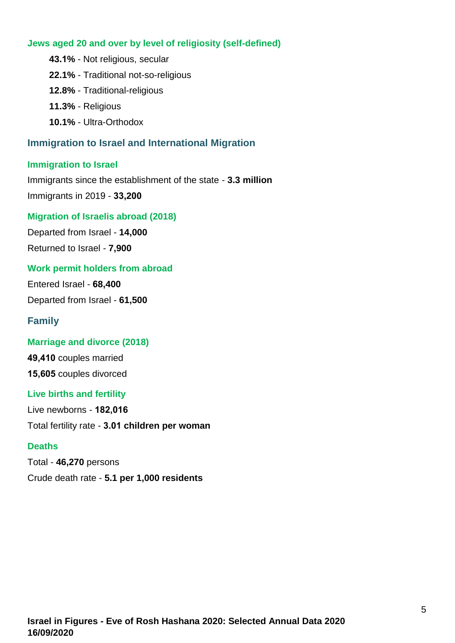### **Jews aged 20 and over by level of religiosity (self-defined)**

- **43.1%** Not religious, secular **22.1%** - Traditional not-so-religious
- 
- **12.8%** Traditional-religious
- **11.3%** Religious
- **10.1%** Ultra-Orthodox

# **Immigration to Israel and International Migration**

### **Immigration to Israel**

Immigrants since the establishment of the state - **3.3 million** Immigrants in 2019 - **33,200**

# **Migration of Israelis abroad (2018)**

Departed from Israel - **14,000**

Returned to Israel - **7,900**

### **Work permit holders from abroad**

Entered Israel - **68,400**

Departed from Israel - **61,500**

# **Family**

# **Marriage and divorce (2018)**

**49,410** couples married **15,605** couples divorced

# **Live births and fertility**

Live newborns - **182,016** Total fertility rate - **3.01 children per woman**

# **Deaths**

Total - **46,270** persons Crude death rate - **5.1 per 1,000 residents**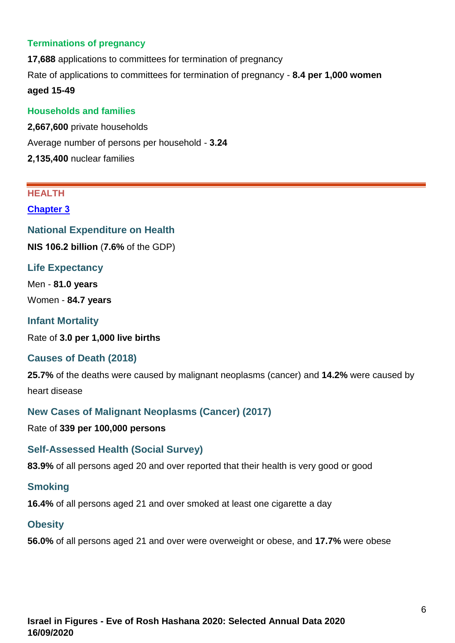#### **Terminations of pregnancy**

**17,688** applications to committees for termination of pregnancy Rate of applications to committees for termination of pregnancy - **8.4 per 1,000 women aged 15-49**

#### **Households and families**

**2,667,600** private households Average number of persons per household - **3.24 2,135,400** nuclear families

#### <span id="page-5-0"></span>**HEALTH**

#### **[Chapter 3](https://www.cbs.gov.il/en/publications/Pages/2020/Health-Statistical-Abstract-of-Israel-2020-No.71.aspx)**

**National Expenditure on Health**

**NIS 106.2 billion** (**7.6%** of the GDP)

#### **Life Expectancy**

Men - **81.0 years**

Women - **84.7 years**

# **Infant Mortality**

Rate of **3.0 per 1,000 live births**

#### **Causes of Death (2018)**

**25.7%** of the deaths were caused by malignant neoplasms (cancer) and **14.2%** were caused by heart disease

#### **New Cases of Malignant Neoplasms (Cancer) (2017)**

Rate of **339 per 100,000 persons**

#### **Self-Assessed Health (Social Survey)**

**83.9%** of all persons aged 20 and over reported that their health is very good or good

#### **Smoking**

**16.4%** of all persons aged 21 and over smoked at least one cigarette a day

#### **Obesity**

**56.0%** of all persons aged 21 and over were overweight or obese, and **17.7%** were obese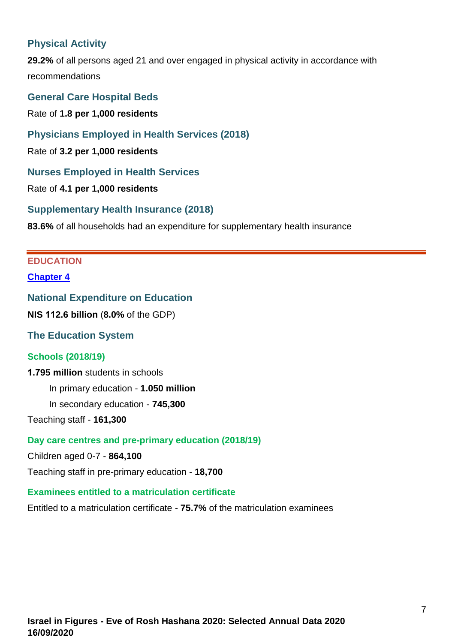# **Physical Activity**

**29.2%** of all persons aged 21 and over engaged in physical activity in accordance with recommendations

**General Care Hospital Beds** Rate of **1.8 per 1,000 residents**

**Physicians Employed in Health Services (2018)**

Rate of **3.2 per 1,000 residents**

**Nurses Employed in Health Services** 

Rate of **4.1 per 1,000 residents**

**Supplementary Health Insurance (2018)**

<span id="page-6-0"></span>**83.6%** of all households had an expenditure for supplementary health insurance

# **EDUCATION**

#### **[Chapter 4](https://www.cbs.gov.il/en/publications/Pages/2020/Education-Statistical-Abstract-of-Israel-2020-No-71.aspx)**

#### **National Expenditure on Education**

**NIS 112.6 billion** (**8.0%** of the GDP)

**The Education System**

#### **Schools (2018/19)**

#### **1.795 million** students in schools

In primary education - **1.050 million**

In secondary education - **745,300** 

Teaching staff - **161,300**

#### **Day care centres and pre-primary education (2018/19)**

Children aged 0-7 - **864,100** 

Teaching staff in pre-primary education - **18,700**

#### **Examinees entitled to a matriculation certificate**

Entitled to a matriculation certificate - **75.7%** of the matriculation examinees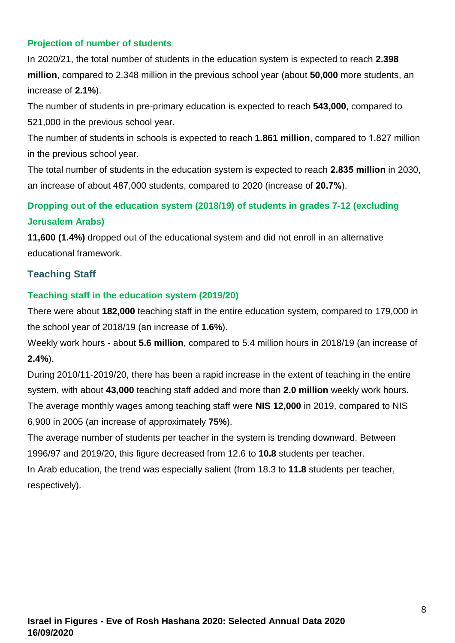# **Projection of number of students**

In 2020/21, the total number of students in the education system is expected to reach **2.398 million**, compared to 2.348 million in the previous school year (about **50,000** more students, an increase of **2.1%**).

The number of students in pre-primary education is expected to reach **543,000**, compared to 521,000 in the previous school year.

The number of students in schools is expected to reach **1.861 million**, compared to 1.827 million in the previous school year.

The total number of students in the education system is expected to reach **2.835 million** in 2030, an increase of about 487,000 students, compared to 2020 (increase of **20.7%**).

# **Dropping out of the education system (2018/19) of students in grades 7-12 (excluding Jerusalem Arabs)**

**11,600 (1.4%)** dropped out of the educational system and did not enroll in an alternative educational framework.

# **Teaching Staff**

### **Teaching staff in the education system (2019/20)**

There were about **182,000** teaching staff in the entire education system, compared to 179,000 in the school year of 2018/19 (an increase of **1.6%**).

Weekly work hours - about **5.6 million**, compared to 5.4 million hours in 2018/19 (an increase of **2.4%**).

During 2010/11-2019/20, there has been a rapid increase in the extent of teaching in the entire system, with about **43,000** teaching staff added and more than **2.0 million** weekly work hours. The average monthly wages among teaching staff were **NIS 12,000** in 2019, compared to NIS 6,900 in 2005 (an increase of approximately **75%**).

The average number of students per teacher in the system is trending downward. Between 1996/97 and 2019/20, this figure decreased from 12.6 to **10.8** students per teacher. In Arab education, the trend was especially salient (from 18.3 to **11.8** students per teacher, respectively).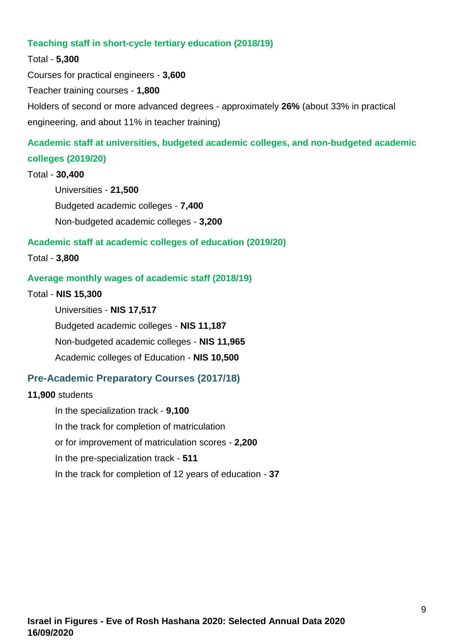#### **Teaching staff in short-cycle tertiary education (2018/19)**

#### Total - **5,300**

Courses for practical engineers - **3,600** Teacher training courses - **1,800** Holders of second or more advanced degrees - approximately **26%** (about 33% in practical engineering, and about 11% in teacher training)

# **Academic staff at universities, budgeted academic colleges, and non-budgeted academic colleges (2019/20)**

#### Total - **30,400**

Universities - **21,500** Budgeted academic colleges - **7,400** Non-budgeted academic colleges - **3,200**

#### **Academic staff at academic colleges of education (2019/20)**

#### Total - **3,800**

#### **Average monthly wages of academic staff (2018/19)**

#### Total - **NIS 15,300**

Universities - **NIS 17,517** Budgeted academic colleges - **NIS 11,187** Non-budgeted academic colleges - **NIS 11,965** Academic colleges of Education - **NIS 10,500**

#### **Pre-Academic Preparatory Courses (2017/18)**

#### **11,900** students

In the specialization track - **9,100** In the track for completion of matriculation or for improvement of matriculation scores - **2,200** In the pre-specialization track - **511** In the track for completion of 12 years of education - **37**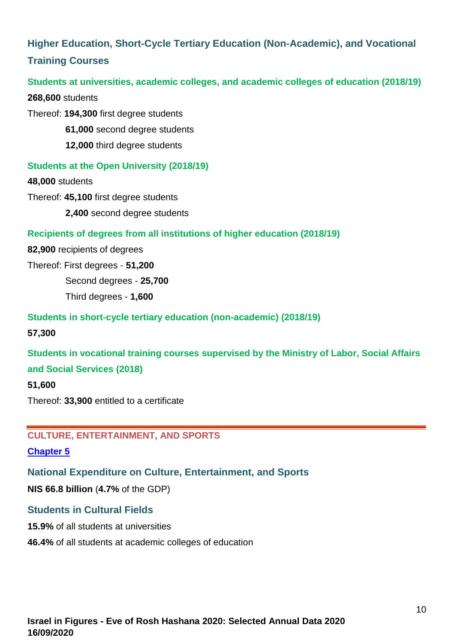# **Higher Education, Short-Cycle Tertiary Education (Non-Academic), and Vocational Training Courses**

#### **Students at universities, academic colleges, and academic colleges of education (2018/19)**

**268,600** students

Thereof: **194,300** first degree students

**61,000** second degree students

**12,000** third degree students

### **Students at the Open University (2018/19)**

**48,000** students

Thereof: **45,100** first degree students

**2,400** second degree students

#### **Recipients of degrees from all institutions of higher education (2018/19)**

**82,900** recipients of degrees

Thereof: First degrees - **51,200**

Second degrees - **25,700**

Third degrees - **1,600**

#### **Students in short-cycle tertiary education (non-academic) (2018/19)**

**57,300**

**Students in vocational training courses supervised by the Ministry of Labor, Social Affairs and Social Services (2018)**

#### **51,600**

<span id="page-9-0"></span>Thereof: **33,900** entitled to a certificate

### **CULTURE, ENTERTAINMENT, AND SPORTS**

#### **[Chapter 5](https://www.cbs.gov.il/en/publications/Pages/2020/Culture-Entertainment-and-Sports-Statistical-Abstract-of-Israel-2020-No-71.aspx)**

**National Expenditure on Culture, Entertainment, and Sports**

**NIS 66.8 billion** (**4.7%** of the GDP)

#### **Students in Cultural Fields**

**15.9%** of all students at universities

**46.4%** of all students at academic colleges of education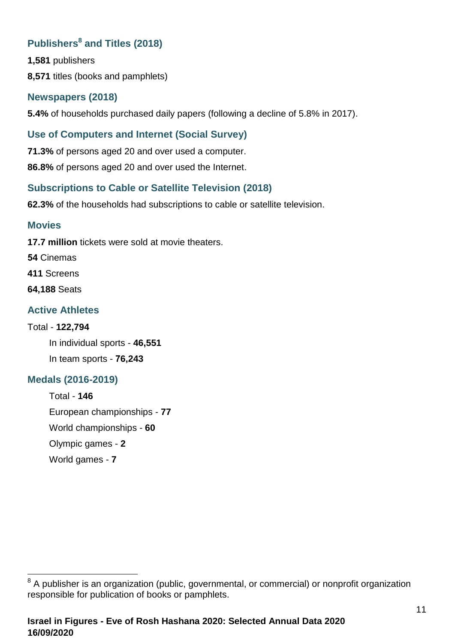# **Publishers<sup>8</sup> and Titles (2018)**

**1,581** publishers

**8,571** titles (books and pamphlets)

# **Newspapers (2018)**

**5.4%** of households purchased daily papers (following a decline of 5.8% in 2017).

# **Use of Computers and Internet (Social Survey)**

**71.3%** of persons aged 20 and over used a computer.

**86.8%** of persons aged 20 and over used the Internet.

# **Subscriptions to Cable or Satellite Television (2018)**

**62.3%** of the households had subscriptions to cable or satellite television.

# **Movies**

**17.7 million** tickets were sold at movie theaters.

**54** Cinemas

- **411** Screens
- **64,188** Seats

# **Active Athletes**

# Total - **122,794**

In individual sports - **46,551** In team sports - **76,243**

# **Medals (2016-2019)**

Total - **146** European championships - **77** World championships - **60** Olympic games - **2** World games - **7**

  $8$  A publisher is an organization (public, governmental, or commercial) or nonprofit organization responsible for publication of books or pamphlets.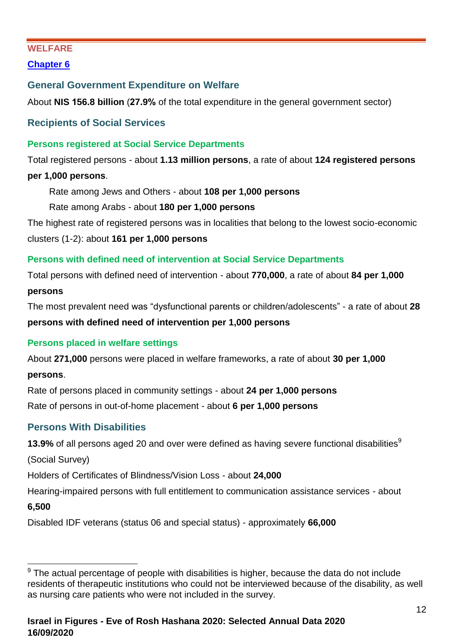### <span id="page-11-0"></span>**WELFARE**

**[Chapter 6](https://www.cbs.gov.il/en/publications/Pages/2020/Welfare%20Statistical%20Abstract%20of%20Israel%202020%20No.71.aspx)**

# **General Government Expenditure on Welfare**

About **NIS 156.8 billion** (**27.9%** of the total expenditure in the general government sector)

**Recipients of Social Services**

### **Persons registered at Social Service Departments**

Total registered persons - about **1.13 million persons**, a rate of about **124 registered persons per 1,000 persons**.

Rate among Jews and Others - about **108 per 1,000 persons**

Rate among Arabs - about **180 per 1,000 persons**

The highest rate of registered persons was in localities that belong to the lowest socio-economic clusters (1-2): about **161 per 1,000 persons**

### **Persons with defined need of intervention at Social Service Departments**

Total persons with defined need of intervention - about **770,000**, a rate of about **84 per 1,000 persons**

The most prevalent need was "dysfunctional parents or children/adolescents" - a rate of about **28 persons with defined need of intervention per 1,000 persons** 

# **Persons placed in welfare settings**

About **271,000** persons were placed in welfare frameworks, a rate of about **30 per 1,000 persons**.

Rate of persons placed in community settings - about **24 per 1,000 persons** Rate of persons in out-of-home placement - about **6 per 1,000 persons**

# **Persons With Disabilities**

**13.9%** of all persons aged 20 and over were defined as having severe functional disabilities<sup>9</sup>

(Social Survey)

Holders of Certificates of Blindness/Vision Loss - about **24,000**

Hearing-impaired persons with full entitlement to communication assistance services - about

# **6,500**

Disabled IDF veterans (status 06 and special status) - approximately **66,000**

 $9$  The actual percentage of people with disabilities is higher, because the data do not include residents of therapeutic institutions who could not be interviewed because of the disability, as well as nursing care patients who were not included in the survey.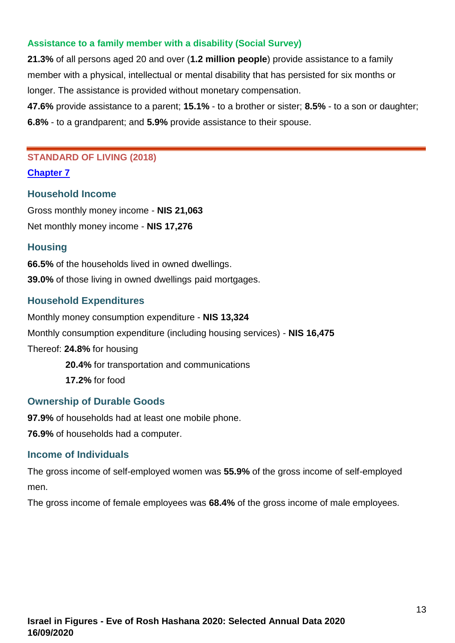#### **Assistance to a family member with a disability (Social Survey)**

**21.3%** of all persons aged 20 and over (**1.2 million people**) provide assistance to a family member with a physical, intellectual or mental disability that has persisted for six months or longer. The assistance is provided without monetary compensation.

**47.6%** provide assistance to a parent; **15.1%** - to a brother or sister; **8.5%** - to a son or daughter; **6.8%** - to a grandparent; and **5.9%** provide assistance to their spouse.

#### <span id="page-12-0"></span>**STANDARD OF LIVING (2018)**

**[Chapter 7](https://www.cbs.gov.il/en/publications/Pages/2020/Standard-of-living-Statistical-Abstract-of-Israel-2020-No-71.aspx)**

### **Household Income**

Gross monthly money income - **NIS 21,063** Net monthly money income - **NIS 17,276**

### **Housing**

**66.5%** of the households lived in owned dwellings. **39.0%** of those living in owned dwellings paid mortgages.

# **Household Expenditures**

Monthly money consumption expenditure - **NIS 13,324** Monthly consumption expenditure (including housing services) - **NIS 16,475** Thereof: **24.8%** for housing **20.4%** for transportation and communications **17.2%** for food

# **Ownership of Durable Goods**

**97.9%** of households had at least one mobile phone.

**76.9%** of households had a computer.

#### **Income of Individuals**

The gross income of self-employed women was **55.9%** of the gross income of self-employed men.

The gross income of female employees was **68.4%** of the gross income of male employees.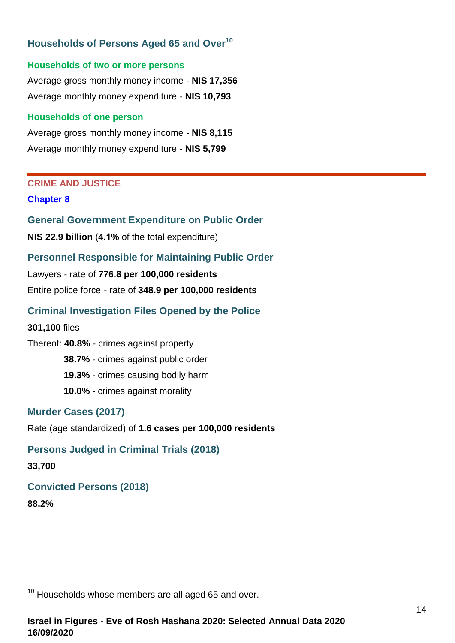# **Households of Persons Aged 65 and Over<sup>10</sup>**

#### **Households of two or more persons**

Average gross monthly money income - **NIS 17,356** Average monthly money expenditure - **NIS 10,793**

#### **Households of one person**

Average gross monthly money income - **NIS 8,115** Average monthly money expenditure - **NIS 5,799**

#### **CRIME AND JUSTICE**

#### **[Chapter 8](https://www.cbs.gov.il/en/publications/Pages/2020/Crime-and-Justice-Statistical-Abstract-of-Israel-2020-No.71.aspx)**

**General Government Expenditure on Public Order**

**NIS 22.9 billion** (**4.1%** of the total expenditure)

# **Personnel Responsible for Maintaining Public Order**

Lawyers - rate of **776.8 per 100,000 residents** Entire police force - rate of **348.9 per 100,000 residents**

# **Criminal Investigation Files Opened by the Police**

**301,100** files

Thereof: **40.8%** - crimes against property **38.7%** - crimes against public order **19.3%** - crimes causing bodily harm **10.0%** - crimes against morality

# **Murder Cases (2017)**

Rate (age standardized) of **1.6 cases per 100,000 residents**

# **Persons Judged in Criminal Trials (2018)**

**33,700**

# **Convicted Persons (2018)**

**88.2%**

 $10$  Households whose members are all aged 65 and over.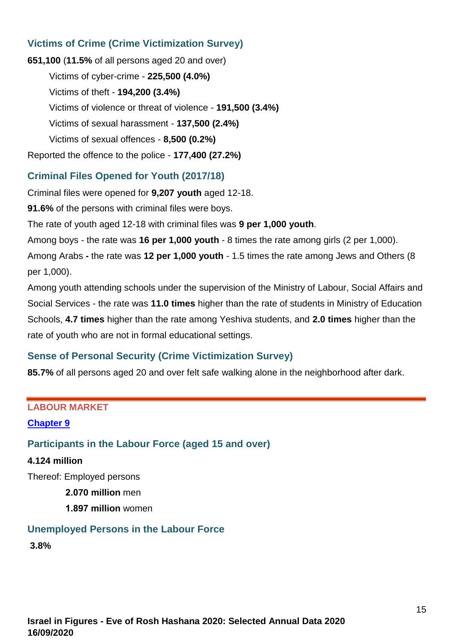# **Victims of Crime (Crime Victimization Survey)**

**651,100** (**11.5%** of all persons aged 20 and over) Victims of cyber-crime - **225,500 (4.0%)** Victims of theft - **194,200 (3.4%)** Victims of violence or threat of violence - **191,500 (3.4%)** Victims of sexual harassment - **137,500 (2.4%)** Victims of sexual offences - **8,500 (0.2%)** Reported the offence to the police - **177,400 (27.2%)**

# **Criminal Files Opened for Youth (2017/18)**

Criminal files were opened for **9,207 youth** aged 12-18.

**91.6%** of the persons with criminal files were boys.

The rate of youth aged 12-18 with criminal files was **9 per 1,000 youth**.

Among boys - the rate was **16 per 1,000 youth** - 8 times the rate among girls (2 per 1,000).

Among Arabs **-** the rate was **12 per 1,000 youth** - 1.5 times the rate among Jews and Others (8 per 1,000).

Among youth attending schools under the supervision of the Ministry of Labour, Social Affairs and Social Services - the rate was **11.0 times** higher than the rate of students in Ministry of Education Schools, **4.7 times** higher than the rate among Yeshiva students, and **2.0 times** higher than the rate of youth who are not in formal educational settings.

# **Sense of Personal Security (Crime Victimization Survey)**

**85.7%** of all persons aged 20 and over felt safe walking alone in the neighborhood after dark.

#### <span id="page-14-0"></span>**LABOUR MARKET**

#### **[Chapter 9](https://www.cbs.gov.il/en/publications/Pages/2020/Labour-Market-%20Statistical-Abstract-of-Israel-2020-No.71.aspx)**

#### **Participants in the Labour Force (aged 15 and over)**

#### **4.124 million**

Thereof: Employed persons

- **2.070 million** men
- **1.897 million** women

# **Unemployed Persons in the Labour Force**

**3.8%**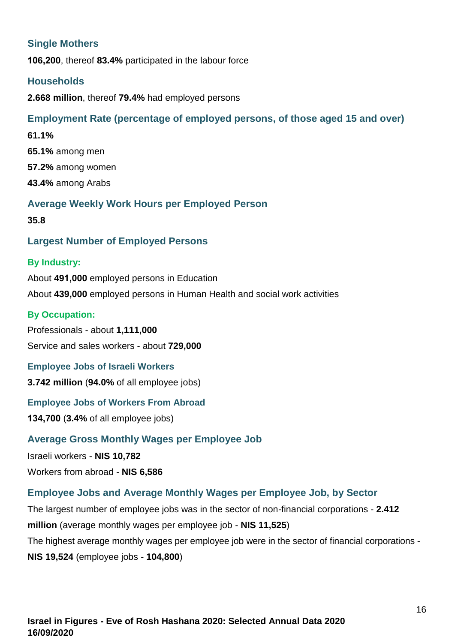# **Single Mothers**

**106,200**, thereof **83.4%** participated in the labour force

#### **Households**

**2.668 million**, thereof **79.4%** had employed persons

# **Employment Rate (percentage of employed persons, of those aged 15 and over)**

**61.1% 65.1%** among men **57.2%** among women **43.4%** among Arabs

# **Average Weekly Work Hours per Employed Person**

**35.8**

### **Largest Number of Employed Persons**

#### **By Industry:**

About **491,000** employed persons in Education About **439,000** employed persons in Human Health and social work activities

#### **By Occupation:**

Professionals - about **1,111,000** Service and sales workers - about **729,000**

**Employee Jobs of Israeli Workers 3.742 million** (**94.0%** of all employee jobs)

#### **Employee Jobs of Workers From Abroad**

**134,700** (**3.4%** of all employee jobs)

#### **Average Gross Monthly Wages per Employee Job**

Israeli workers - **NIS 10,782**

Workers from abroad - **NIS 6,586**

# **Employee Jobs and Average Monthly Wages per Employee Job, by Sector**

The largest number of employee jobs was in the sector of non-financial corporations - **2.412 million** (average monthly wages per employee job - **NIS 11,525**) The highest average monthly wages per employee job were in the sector of financial corporations - **NIS 19,524** (employee jobs - **104,800**)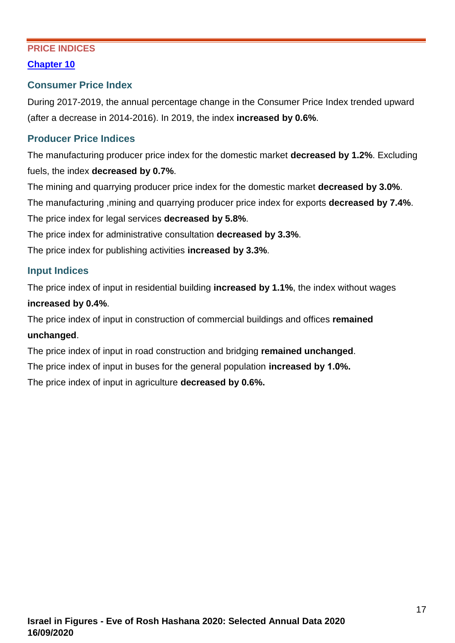# <span id="page-16-0"></span>**PRICE INDICES**

#### **[Chapter 10](https://www.cbs.gov.il/en/publications/Pages/2020/Price-indices-Statistical-Abstract-of-Israel-2020-No-71.aspx)**

#### **Consumer Price Index**

During 2017-2019, the annual percentage change in the Consumer Price Index trended upward (after a decrease in 2014-2016). In 2019, the index **increased by 0.6%**.

### **Producer Price Indices**

The manufacturing producer price index for the domestic market **decreased by 1.2%**. Excluding fuels, the index **decreased by 0.7%**.

The mining and quarrying producer price index for the domestic market **decreased by 3.0%**.

The manufacturing ,mining and quarrying producer price index for exports **decreased by 7.4%**. The price index for legal services **decreased by 5.8%**.

The price index for administrative consultation **decreased by 3.3%**.

The price index for publishing activities **increased by 3.3%**.

### **Input Indices**

The price index of input in residential building **increased by 1.1%**, the index without wages **increased by 0.4%**.

The price index of input in construction of commercial buildings and offices **remained unchanged**.

The price index of input in road construction and bridging **remained unchanged**.

The price index of input in buses for the general population **increased by 1.0%.**

The price index of input in agriculture **decreased by 0.6%.**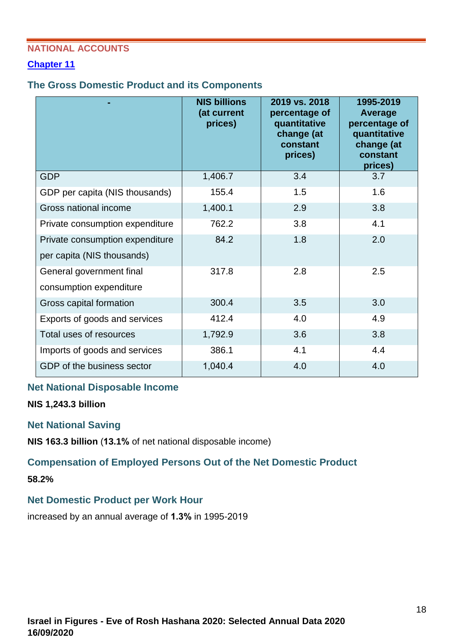### <span id="page-17-0"></span>**NATIONAL ACCOUNTS**

### **[Chapter 11](https://www.cbs.gov.il/en/publications/Pages/2020/National-Accounts-Statistical-Abstract-of-Israel-2020-No.71.aspx)**

#### **The Gross Domestic Product and its Components**

|                                                               | <b>NIS billions</b><br>(at current<br>prices) | 2019 vs. 2018<br>percentage of<br>quantitative<br>change (at<br>constant<br>prices) | 1995-2019<br><b>Average</b><br>percentage of<br>quantitative<br>change (at<br>constant<br>prices) |
|---------------------------------------------------------------|-----------------------------------------------|-------------------------------------------------------------------------------------|---------------------------------------------------------------------------------------------------|
| <b>GDP</b>                                                    | 1,406.7                                       | 3.4                                                                                 | 3.7                                                                                               |
| GDP per capita (NIS thousands)                                | 155.4                                         | 1.5                                                                                 | 1.6                                                                                               |
| Gross national income                                         | 1,400.1                                       | 2.9                                                                                 | 3.8                                                                                               |
| Private consumption expenditure                               | 762.2                                         | 3.8                                                                                 | 4.1                                                                                               |
| Private consumption expenditure<br>per capita (NIS thousands) | 84.2                                          | 1.8                                                                                 | 2.0                                                                                               |
| General government final<br>consumption expenditure           | 317.8                                         | 2.8                                                                                 | 2.5                                                                                               |
| Gross capital formation                                       | 300.4                                         | 3.5                                                                                 | 3.0                                                                                               |
| Exports of goods and services                                 | 412.4                                         | 4.0                                                                                 | 4.9                                                                                               |
| Total uses of resources                                       | 1,792.9                                       | 3.6                                                                                 | 3.8                                                                                               |
| Imports of goods and services                                 | 386.1                                         | 4.1                                                                                 | 4.4                                                                                               |
| GDP of the business sector                                    | 1,040.4                                       | 4.0                                                                                 | 4.0                                                                                               |

#### **Net National Disposable Income**

**NIS 1,243.3 billion**

#### **Net National Saving**

**NIS 163.3 billion** (**13.1%** of net national disposable income)

# **Compensation of Employed Persons Out of the Net Domestic Product**

**58.2%**

#### **Net Domestic Product per Work Hour**

increased by an annual average of **1.3%** in 1995-2019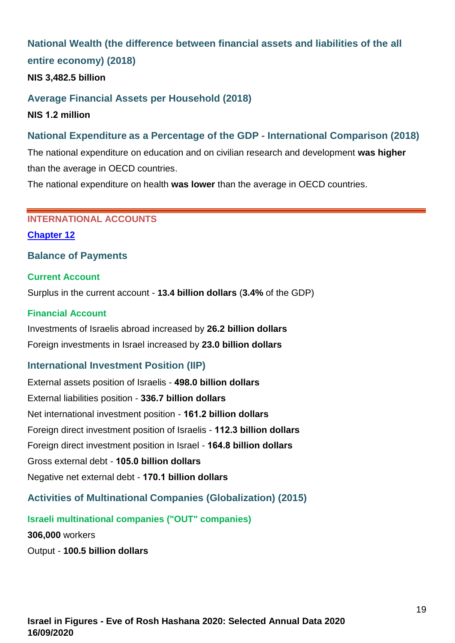# **National Wealth (the difference between financial assets and liabilities of the all entire economy) (2018)**

**NIS 3,482.5 billion**

### **Average Financial Assets per Household (2018)**

**NIS 1.2 million**

# **National Expenditure as a Percentage of the GDP - International Comparison (2018)**

The national expenditure on education and on civilian research and development **was higher** than the average in OECD countries.

<span id="page-18-0"></span>The national expenditure on health **was lower** than the average in OECD countries.

#### **INTERNATIONAL ACCOUNTS**

#### **[Chapter 12](https://www.cbs.gov.il/en/publications/Pages/2020/International-Accounts-Statistical-Abstract-of-Israel-2020-No.-71.aspx)**

### **Balance of Payments**

#### **Current Account**

Surplus in the current account - **13.4 billion dollars** (**3.4%** of the GDP)

#### **Financial Account**

Investments of Israelis abroad increased by **26.2 billion dollars** Foreign investments in Israel increased by **23.0 billion dollars**

# **International Investment Position (IIP)**

External assets position of Israelis - **498.0 billion dollars** External liabilities position - **336.7 billion dollars** Net international investment position - **161.2 billion dollars** Foreign direct investment position of Israelis - **112.3 billion dollars** Foreign direct investment position in Israel - **164.8 billion dollars** Gross external debt - **105.0 billion dollars** Negative net external debt - **170.1 billion dollars**

# **Activities of Multinational Companies (Globalization) (2015)**

#### **Israeli multinational companies ("OUT" companies)**

**306,000** workers

Output - **100.5 billion dollars**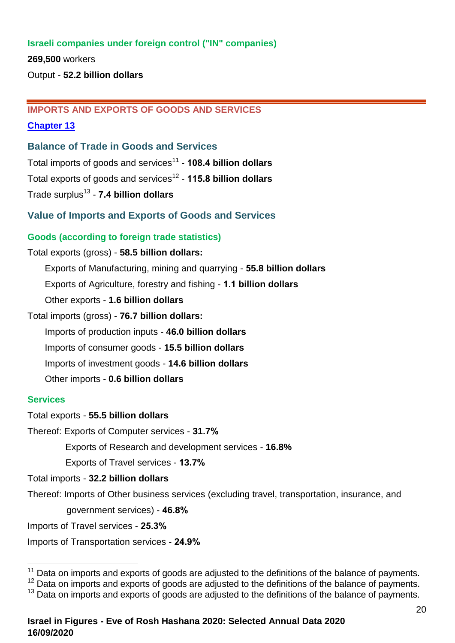### **Israeli companies under foreign control ("IN" companies)**

**269,500** workers

<span id="page-19-0"></span>Output - **52.2 billion dollars**

#### **IMPORTS AND EXPORTS OF GOODS AND SERVICES**

#### **[Chapter 13](https://www.cbs.gov.il/en/publications/Pages/2020/Imports-and-Exports-of-Goods-and-Services-Statistical-Abstract-of-Israel-2020-No-71.aspx)**

**Balance of Trade in Goods and Services**

Total imports of goods and services<sup>11</sup> - **108.4 billion dollars** Total exports of goods and services<sup>12</sup> - **115.8 billion dollars**

Trade surplus<sup>13</sup> - **7.4 billion dollars**

**Value of Imports and Exports of Goods and Services**

#### **Goods (according to foreign trade statistics)**

#### Total exports (gross) - **58.5 billion dollars:**

Exports of Manufacturing, mining and quarrying - **55.8 billion dollars**

Exports of Agriculture, forestry and fishing - **1.1 billion dollars**

Other exports - **1.6 billion dollars**

Total imports (gross) - **76.7 billion dollars:**

Imports of production inputs - **46.0 billion dollars**

Imports of consumer goods - **15.5 billion dollars**

Imports of investment goods - **14.6 billion dollars**

Other imports - **0.6 billion dollars**

#### **Services**

Total exports - **55.5 billion dollars**

Thereof: Exports of Computer services - **31.7%**

Exports of Research and development services - **16.8%**

Exports of Travel services - **13.7%**

Total imports - **32.2 billion dollars**

Thereof: Imports of Other business services (excluding travel, transportation, insurance, and

government services) - **46.8%**

Imports of Travel services - **25.3%**

Imports of Transportation services - **24.9%**

 $11$  Data on imports and exports of goods are adjusted to the definitions of the balance of payments.

<sup>&</sup>lt;sup>12</sup> Data on imports and exports of goods are adjusted to the definitions of the balance of payments.

<sup>&</sup>lt;sup>13</sup> Data on imports and exports of goods are adjusted to the definitions of the balance of payments.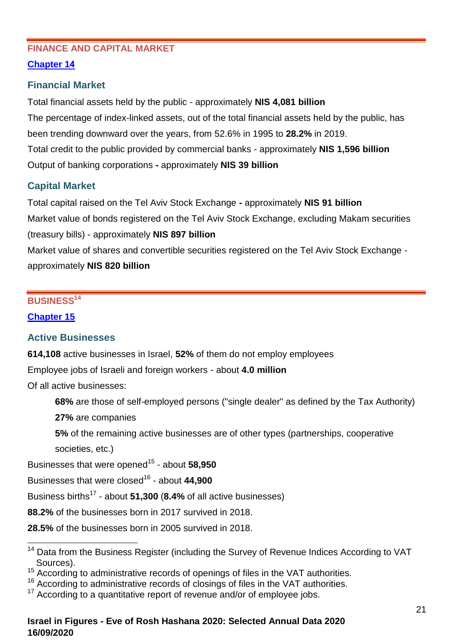### <span id="page-20-0"></span>**FINANCE AND CAPITAL MARKET**

# **[Chapter 14](https://www.cbs.gov.il/en/publications/Pages/2020/Financial-and-Capital-Statistical-Abstract-of-Israel-2020-No.71.aspx)**

# **Financial Market**

Total financial assets held by the public - approximately **NIS 4,081 billion** The percentage of index-linked assets, out of the total financial assets held by the public, has been trending downward over the years, from 52.6% in 1995 to **28.2%** in 2019. Total credit to the public provided by commercial banks - approximately **NIS 1,596 billion** Output of banking corporations **-** approximately **NIS 39 billion**

# **Capital Market**

Total capital raised on the Tel Aviv Stock Exchange **-** approximately **NIS 91 billion** Market value of bonds registered on the Tel Aviv Stock Exchange, excluding Makam securities (treasury bills) - approximately **NIS 897 billion** Market value of shares and convertible securities registered on the Tel Aviv Stock Exchange approximately **NIS 820 billion**

# <span id="page-20-1"></span>**BUSINESS<sup>14</sup>**

# **[Chapter 15](https://www.cbs.gov.il/en/publications/Pages/2020/Business-Statistical-Abstract-of-Israel-2020-No.71.aspx)**

# **Active Businesses**

**614,108** active businesses in Israel, **52%** of them do not employ employees

Employee jobs of Israeli and foreign workers - about **4.0 million** 

Of all active businesses:

**68%** are those of self-employed persons ("single dealer" as defined by the Tax Authority)

**27%** are companies

**5%** of the remaining active businesses are of other types (partnerships, cooperative

societies, etc.)

Businesses that were opened<sup>15</sup> - about 58,950

Businesses that were closed<sup>16</sup> - about 44,900

Business births<sup>17</sup> - about **51,300** (**8.4%** of all active businesses)

**88.2%** of the businesses born in 2017 survived in 2018.

**28.5%** of the businesses born in 2005 survived in 2018.

 <sup>14</sup> Data from the Business Register (including the Survey of Revenue Indices According to VAT Sources).

<sup>15</sup> According to administrative records of openings of files in the VAT authorities.

<sup>&</sup>lt;sup>16</sup> According to administrative records of closings of files in the VAT authorities.

According to a quantitative report of revenue and/or of employee jobs.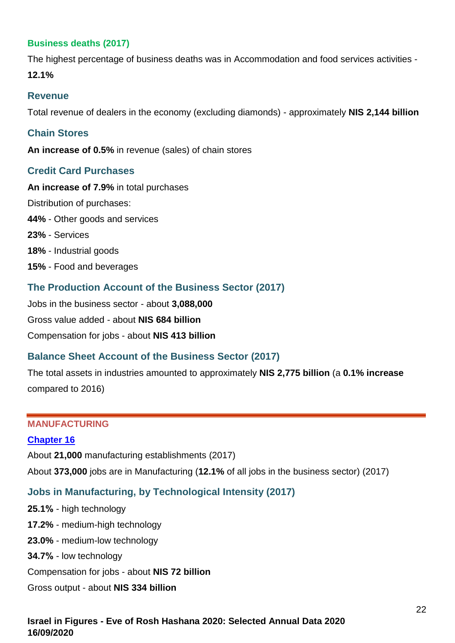### **Business deaths (2017)**

The highest percentage of business deaths was in Accommodation and food services activities - **12.1%**

#### **Revenue**

Total revenue of dealers in the economy (excluding diamonds) - approximately **NIS 2,144 billion**

#### **Chain Stores**

**An increase of 0.5%** in revenue (sales) of chain stores

### **Credit Card Purchases**

**An increase of 7.9%** in total purchases Distribution of purchases: **44%** - Other goods and services **23%** - Services **18%** - Industrial goods **15%** - Food and beverages

# **The Production Account of the Business Sector (2017)**

Jobs in the business sector - about **3,088,000**  Gross value added - about **NIS 684 billion** Compensation for jobs - about **NIS 413 billion**

# **Balance Sheet Account of the Business Sector (2017)**

The total assets in industries amounted to approximately **NIS 2,775 billion** (a **0.1% increase** compared to 2016)

### <span id="page-21-0"></span>**MANUFACTURING**

#### **[Chapter 16](https://www.cbs.gov.il/en/publications/Pages/2020/Manufacturing-Statistical-Abstract-of-Israel-2020-No.71.aspx)**

About **21,000** manufacturing establishments (2017)

About **373,000** jobs are in Manufacturing (**12.1%** of all jobs in the business sector) (2017)

# **Jobs in Manufacturing, by Technological Intensity (2017)**

**25.1%** - high technology **17.2%** - medium-high technology **23.0%** - medium-low technology **34.7%** - low technology Compensation for jobs - about **NIS 72 billion** Gross output - about **NIS 334 billion**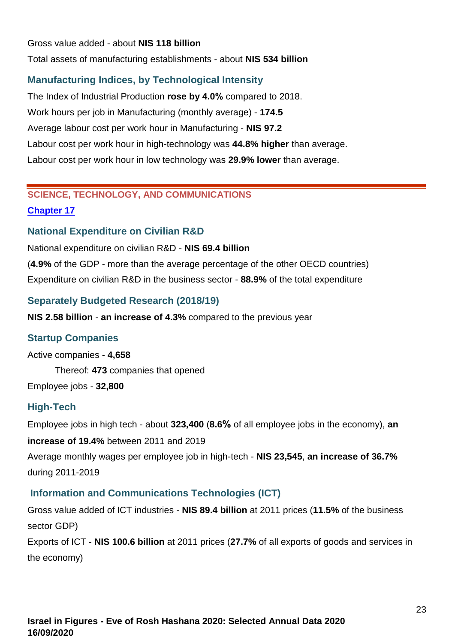#### Gross value added - about **NIS 118 billion**

Total assets of manufacturing establishments - about **NIS 534 billion**

### **Manufacturing Indices, by Technological Intensity**

The Index of Industrial Production **rose by 4.0%** compared to 2018. Work hours per job in Manufacturing (monthly average) - **174.5** Average labour cost per work hour in Manufacturing - **NIS 97.2** Labour cost per work hour in high-technology was **44.8% higher** than average. Labour cost per work hour in low technology was **29.9% lower** than average.

# <span id="page-22-0"></span>**SCIENCE, TECHNOLOGY, AND COMMUNICATIONS [Chapter 17](https://www.cbs.gov.il/en/publications/Pages/2020/Science-Technology-and-Communication-Statistical-Abstract-of-Israel-2020-No-71.aspx)**

### **National Expenditure on Civilian R&D**

National expenditure on civilian R&D - **NIS 69.4 billion**

(**4.9%** of the GDP - more than the average percentage of the other OECD countries) Expenditure on civilian R&D in the business sector - **88.9%** of the total expenditure

### **Separately Budgeted Research (2018/19)**

**NIS 2.58 billion** - **an increase of 4.3%** compared to the previous year

#### **Startup Companies**

Active companies - **4,658**

Thereof: **473** companies that opened

Employee jobs - **32,800**

#### **High-Tech**

Employee jobs in high tech - about **323,400** (**8.6%** of all employee jobs in the economy), **an**

**increase of 19.4%** between 2011 and 2019 Average monthly wages per employee job in high-tech - **NIS 23,545**, **an increase of 36.7%**

during 2011-2019

# **Information and Communications Technologies (ICT)**

Gross value added of ICT industries - **NIS 89.4 billion** at 2011 prices (**11.5%** of the business sector GDP)

Exports of ICT - **NIS 100.6 billion** at 2011 prices (**27.7%** of all exports of goods and services in the economy)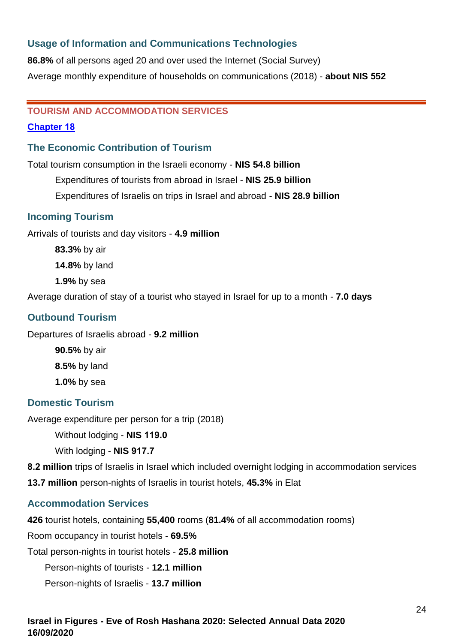# **Usage of Information and Communications Technologies**

**86.8%** of all persons aged 20 and over used the Internet (Social Survey) Average monthly expenditure of households on communications (2018) - **about NIS 552**

#### <span id="page-23-0"></span>**TOURISM AND ACCOMMODATION SERVICES**

#### **[Chapter 18](https://www.cbs.gov.il/en/publications/Pages/2020/Tourism%20and%20Accomodation%20Services%20Statistical%20Abstract%20of%20Israel%202020%20No.71.aspx)**

### **The Economic Contribution of Tourism**

Total tourism consumption in the Israeli economy - **NIS 54.8 billion**

Expenditures of tourists from abroad in Israel - **NIS 25.9 billion**

Expenditures of Israelis on trips in Israel and abroad - **NIS 28.9 billion**

### **Incoming Tourism**

Arrivals of tourists and day visitors - **4.9 million**

**83.3%** by air

**14.8%** by land

**1.9%** by sea

Average duration of stay of a tourist who stayed in Israel for up to a month - **7.0 days**

# **Outbound Tourism**

Departures of Israelis abroad - **9.2 million**

**90.5%** by air **8.5%** by land **1.0%** by sea

#### **Domestic Tourism**

Average expenditure per person for a trip (2018)

Without lodging - **NIS 119.0**

With lodging - **NIS 917.7**

**8.2 million** trips of Israelis in Israel which included overnight lodging in accommodation services

**13.7 million** person-nights of Israelis in tourist hotels, **45.3%** in Elat

#### **Accommodation Services**

**426** tourist hotels, containing **55,400** rooms (**81.4%** of all accommodation rooms)

Room occupancy in tourist hotels - **69.5%**

Total person-nights in tourist hotels - **25.8 million**

Person-nights of tourists - **12.1 million**

Person-nights of Israelis - **13.7 million**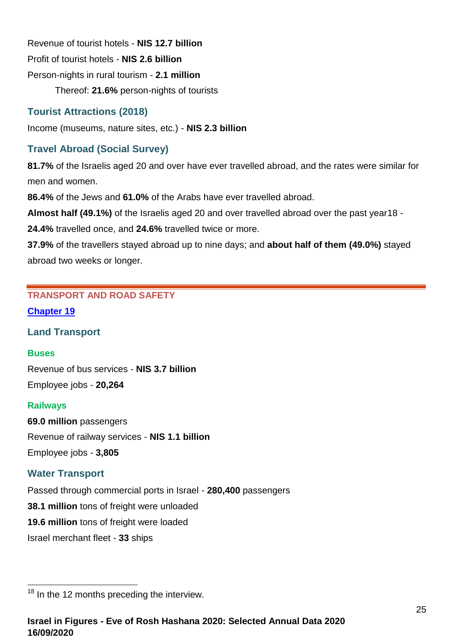Revenue of tourist hotels - **NIS 12.7 billion** Profit of tourist hotels - **NIS 2.6 billion** Person-nights in rural tourism - **2.1 million** Thereof: **21.6%** person-nights of tourists

# **Tourist Attractions (2018)**

Income (museums, nature sites, etc.) - **NIS 2.3 billion**

# **Travel Abroad (Social Survey)**

**81.7%** of the Israelis aged 20 and over have ever travelled abroad, and the rates were similar for men and women.

**86.4%** of the Jews and **61.0%** of the Arabs have ever travelled abroad.

**Almost half (49.1%)** of the Israelis aged 20 and over travelled abroad over the past year18 -

**24.4%** travelled once, and **24.6%** travelled twice or more.

**37.9%** of the travellers stayed abroad up to nine days; and **about half of them (49.0%)** stayed abroad two weeks or longer.

# <span id="page-24-0"></span>**TRANSPORT AND ROAD SAFETY**

#### **[Chapter 19](https://www.cbs.gov.il/en/publications/Pages/2020/Transport-and-Road-Safety-Statistical-Abstract-of-Israel-2020-No-71.aspx)**

#### **Land Transport**

#### **Buses**

Revenue of bus services - **NIS 3.7 billion** Employee jobs - **20,264**

#### **Railways**

**69.0 million** passengers Revenue of railway services - **NIS 1.1 billion** Employee jobs - **3,805**

# **Water Transport**

Passed through commercial ports in Israel - **280,400** passengers **38.1 million** tons of freight were unloaded **19.6 million** tons of freight were loaded Israel merchant fleet - **33** ships

  $18$  In the 12 months preceding the interview.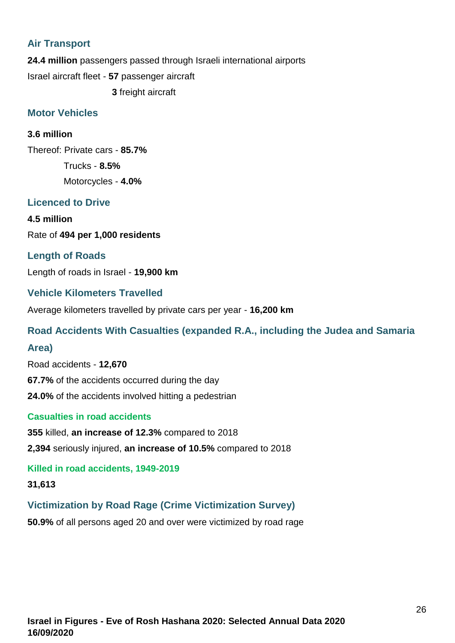# **Air Transport**

**24.4 million** passengers passed through Israeli international airports Israel aircraft fleet - **57** passenger aircraft **3** freight aircraft

#### **Motor Vehicles**

#### **3.6 million**

Thereof: Private cars - **85.7%** Trucks - **8.5%** Motorcycles - **4.0%**

# **Licenced to Drive**

**4.5 million** Rate of **494 per 1,000 residents**

### **Length of Roads**

Length of roads in Israel - **19,900 km**

### **Vehicle Kilometers Travelled**

Average kilometers travelled by private cars per year - **16,200 km**

#### **Road Accidents With Casualties (expanded R.A., including the Judea and Samaria**

#### **Area)**

Road accidents - **12,670 67.7%** of the accidents occurred during the day **24.0%** of the accidents involved hitting a pedestrian

#### **Casualties in road accidents**

**355** killed, **an increase of 12.3%** compared to 2018 **2,394** seriously injured, **an increase of 10.5%** compared to 2018

**Killed in road accidents, 1949-2019**

**31,613**

# **Victimization by Road Rage (Crime Victimization Survey)**

**50.9%** of all persons aged 20 and over were victimized by road rage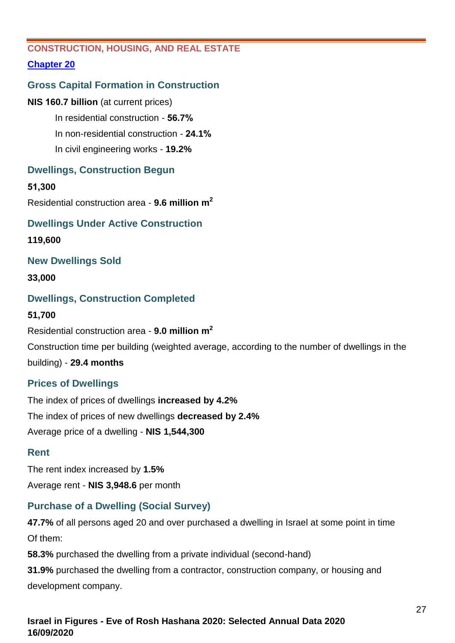# <span id="page-26-0"></span>**CONSTRUCTION, HOUSING, AND REAL ESTATE**

# **[Chapter 20](https://www.cbs.gov.il/en/publications/Pages/2020/Construction,%20housing,%20and%20real%20estate%20Statistical%20Abstract%20of%20Israel%202020%20No.71.aspx)**

# **Gross Capital Formation in Construction**

#### **NIS 160.7 billion** (at current prices)

In residential construction - **56.7%** In non-residential construction - **24.1%** In civil engineering works - **19.2%**

# **Dwellings, Construction Begun**

#### **51,300**

Residential construction area - **9.6 million m<sup>2</sup>**

# **Dwellings Under Active Construction**

**119,600**

# **New Dwellings Sold**

#### **33,000**

# **Dwellings, Construction Completed**

#### **51,700**

Residential construction area - **9.0 million m 2**

Construction time per building (weighted average, according to the number of dwellings in the

building) - **29.4 months**

# **Prices of Dwellings**

The index of prices of dwellings **increased by 4.2%** The index of prices of new dwellings **decreased by 2.4%** Average price of a dwelling - **NIS 1,544,300**

# **Rent**

The rent index increased by **1.5%** Average rent - **NIS 3,948.6** per month

# **Purchase of a Dwelling (Social Survey)**

**47.7%** of all persons aged 20 and over purchased a dwelling in Israel at some point in time Of them:

**58.3%** purchased the dwelling from a private individual (second-hand)

**31.9%** purchased the dwelling from a contractor, construction company, or housing and development company.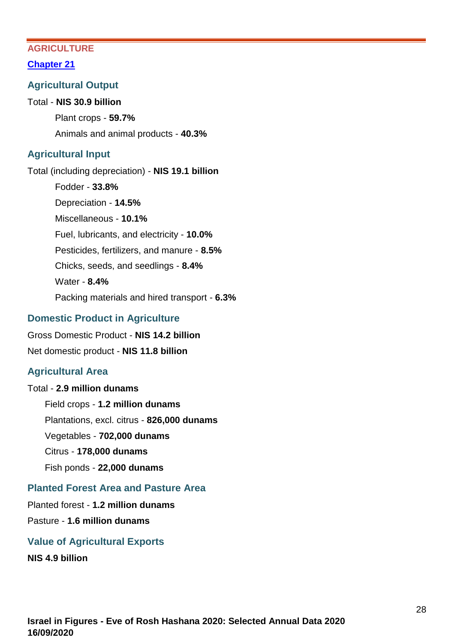### <span id="page-27-0"></span>**AGRICULTURE**

#### **[Chapter 21](https://www.cbs.gov.il/en/publications/Pages/2020/Agriculture-Statistical-Abstract-of-Israel-2020-No.71.aspx)**

#### **Agricultural Output**

#### Total - **NIS 30.9 billion**

Plant crops - **59.7%** Animals and animal products - **40.3%**

### **Agricultural Input**

Total (including depreciation) - **NIS 19.1 billion** Fodder - **33.8%** Depreciation - **14.5%** Miscellaneous - **10.1%** Fuel, lubricants, and electricity - **10.0%** Pesticides, fertilizers, and manure - **8.5%** Chicks, seeds, and seedlings - **8.4%** Water - **8.4%** Packing materials and hired transport - **6.3%**

### **Domestic Product in Agriculture**

Gross Domestic Product - **NIS 14.2 billion** Net domestic product - **NIS 11.8 billion**

# **Agricultural Area**

Total - **2.9 million dunams** Field crops - **1.2 million dunams** Plantations, excl. citrus - **826,000 dunams** Vegetables - **702,000 dunams** Citrus - **178,000 dunams** Fish ponds - **22,000 dunams**

# **Planted Forest Area and Pasture Area**

Planted forest - **1.2 million dunams**

# Pasture - **1.6 million dunams**

#### **Value of Agricultural Exports**

**NIS 4.9 billion**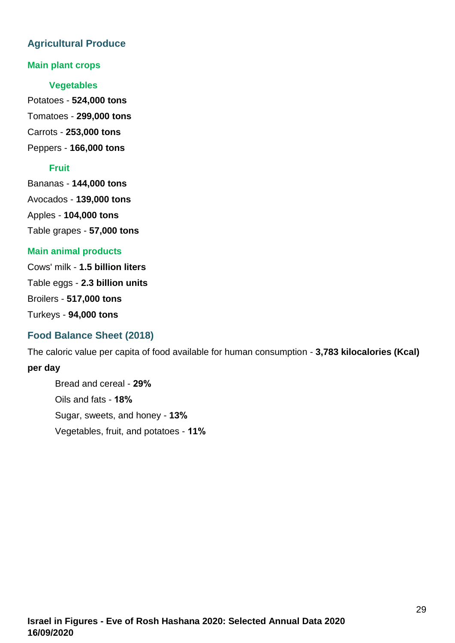# **Agricultural Produce**

### **Main plant crops**

#### **Vegetables**

Potatoes - **524,000 tons** Tomatoes - **299,000 tons** Carrots - **253,000 tons**

Peppers - **166,000 tons**

# **Fruit**

Bananas - **144,000 tons** Avocados - **139,000 tons** Apples - **104,000 tons** Table grapes - **57,000 tons**

# **Main animal products**

Cows' milk - **1.5 billion liters** Table eggs - **2.3 billion units** Broilers - **517,000 tons** Turkeys - **94,000 tons**

# **Food Balance Sheet (2018)**

The caloric value per capita of food available for human consumption - **3,783 kilocalories (Kcal) per day**

<span id="page-28-0"></span>Bread and cereal - **29%** Oils and fats - **18%** Sugar, sweets, and honey - **13%** Vegetables, fruit, and potatoes - **11%**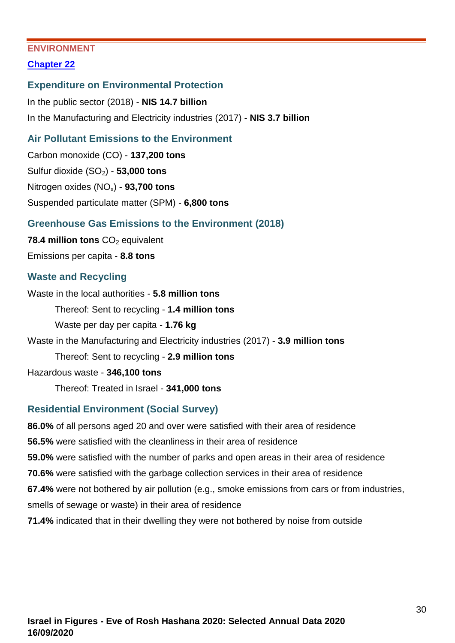### **ENVIRONMENT**

### **[Chapter 22](https://www.cbs.gov.il/en/publications/Pages/2020/Environment%20-%20Statistical%20Abstract%20of%20Israel%202020%20No.71.aspx)**

#### **Expenditure on Environmental Protection**

In the public sector (2018) - **NIS 14.7 billion** In the Manufacturing and Electricity industries (2017) - **NIS 3.7 billion**

### **Air Pollutant Emissions to the Environment**

Carbon monoxide (CO) - **137,200 tons** Sulfur dioxide (SO2) - **53,000 tons** Nitrogen oxides (NOx) - **93,700 tons** Suspended particulate matter (SPM) - **6,800 tons**

### **Greenhouse Gas Emissions to the Environment (2018)**

**78.4 million tons** CO<sub>2</sub> equivalent Emissions per capita - **8.8 tons** 

### **Waste and Recycling**

Waste in the local authorities - **5.8 million tons** Thereof: Sent to recycling - **1.4 million tons** Waste per day per capita - **1.76 kg** Waste in the Manufacturing and Electricity industries (2017) - **3.9 million tons** Thereof: Sent to recycling - **2.9 million tons** Hazardous waste - **346,100 tons** Thereof: Treated in Israel - **341,000 tons**

# **Residential Environment (Social Survey)**

**86.0%** of all persons aged 20 and over were satisfied with their area of residence **56.5%** were satisfied with the cleanliness in their area of residence **59.0%** were satisfied with the number of parks and open areas in their area of residence **70.6%** were satisfied with the garbage collection services in their area of residence **67.4%** were not bothered by air pollution (e.g., smoke emissions from cars or from industries, smells of sewage or waste) in their area of residence **71.4%** indicated that in their dwelling they were not bothered by noise from outside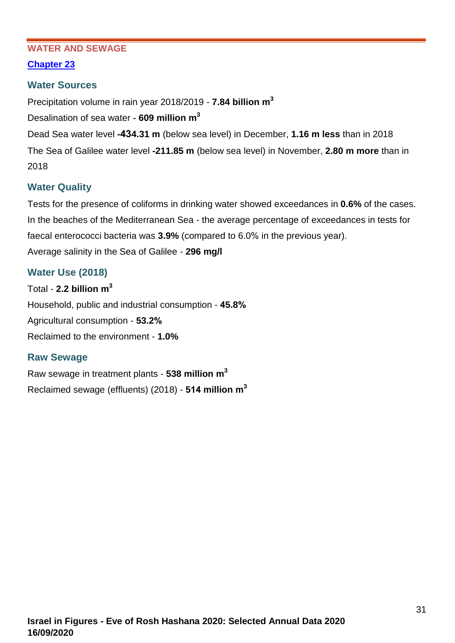#### <span id="page-30-0"></span>**WATER AND SEWAGE**

### **[Chapter 23](https://www.cbs.gov.il/en/publications/Pages/2020/Water-and-Sewage-Statistical-Abstract-of-Israel-2020-No.71.aspx)**

### **Water Sources**

Precipitation volume in rain year 2018/2019 - **7.84 billion m<sup>3</sup>**

Desalination of sea water - **609 million m 3**

Dead Sea water level **-434.31 m** (below sea level) in December, **1.16 m less** than in 2018 The Sea of Galilee water level **-211.85 m** (below sea level) in November, **2.80 m more** than in 2018

# **Water Quality**

Tests for the presence of coliforms in drinking water showed exceedances in **0.6%** of the cases. In the beaches of the Mediterranean Sea - the average percentage of exceedances in tests for faecal enterococci bacteria was **3.9%** (compared to 6.0% in the previous year). Average salinity in the Sea of Galilee - **296 mg/l**

# **Water Use (2018)**

Total - **2.2 billion m 3** Household, public and industrial consumption - **45.8%** Agricultural consumption - **53.2%** Reclaimed to the environment - **1.0%**

# **Raw Sewage**

<span id="page-30-1"></span>Raw sewage in treatment plants - **538 million m 3** Reclaimed sewage (effluents) (2018) - **514 million m<sup>3</sup>**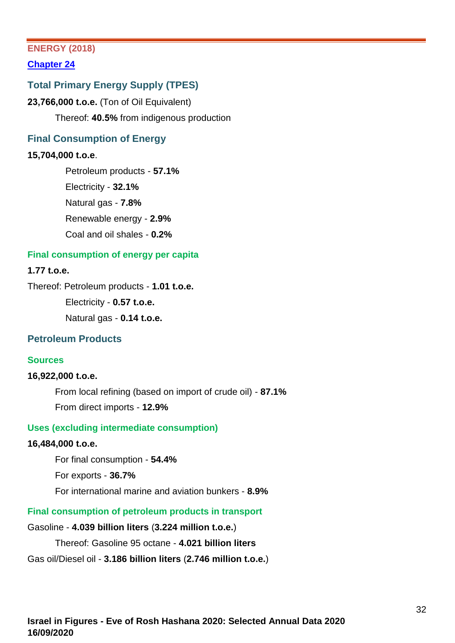### **ENERGY (2018)**

**[Chapter 24](https://www.cbs.gov.il/en/publications/Pages/2020/Energy-Statistical-Abstract-of-Israel-2020-No.71.aspx)**

# **Total Primary Energy Supply (TPES)**

**23,766,000 t.o.e.** (Ton of Oil Equivalent) Thereof: **40.5%** from indigenous production

### **Final Consumption of Energy**

#### **15,704,000 t.o.e**.

Petroleum products - **57.1%** Electricity - **32.1%** Natural gas - **7.8%** Renewable energy - **2.9%** Coal and oil shales - **0.2%**

#### **Final consumption of energy per capita**

#### **1.77 t.o.e.**

Thereof: Petroleum products - **1.01 t.o.e.**

Electricity - **0.57 t.o.e.**

Natural gas - **0.14 t.o.e.**

#### **Petroleum Products**

#### **Sources**

#### **16,922,000 t.o.e.**

From local refining (based on import of crude oil) - **87.1%** From direct imports - **12.9%**

#### **Uses (excluding intermediate consumption)**

#### **16,484,000 t.o.e.**

For final consumption - **54.4%**

For exports - **36.7%**

For international marine and aviation bunkers - **8.9%**

**Final consumption of petroleum products in transport**

#### Gasoline - **4.039 billion liters** (**3.224 million t.o.e.**)

Thereof: Gasoline 95 octane - **4.021 billion liters** 

Gas oil/Diesel oil - **3.186 billion liters** (**2.746 million t.o.e.**)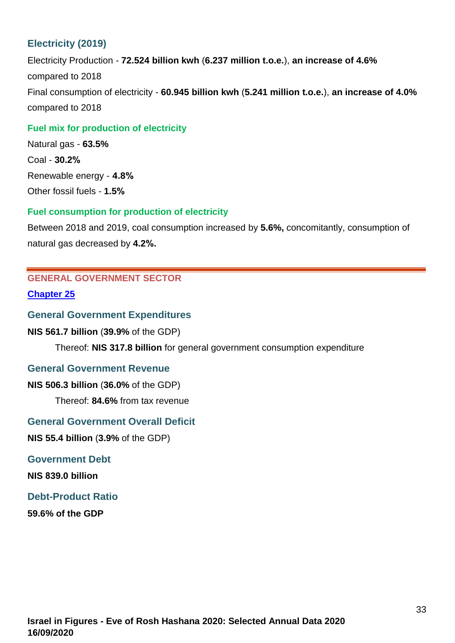# **Electricity (2019)**

Electricity Production - **72.524 billion kwh** (**6.237 million t.o.e.**), **an increase of 4.6%** compared to 2018 Final consumption of electricity - **60.945 billion kwh** (**5.241 million t.o.e.**), **an increase of 4.0%** compared to 2018

#### **Fuel mix for production of electricity**

Natural gas - **63.5%** Coal - **30.2%** Renewable energy - **4.8%** Other fossil fuels - **1.5%**

#### **Fuel consumption for production of electricity**

Between 2018 and 2019, coal consumption increased by **5.6%,** concomitantly, consumption of natural gas decreased by **4.2%.**

# <span id="page-32-0"></span>**GENERAL GOVERNMENT SECTOR**

**[Chapter 25](https://www.cbs.gov.il/en/publications/Pages/2020/General-Government-Sector-Statistical-Abstract-of-Israel-2020-No.-71.aspx)**

#### **General Government Expenditures**

#### **NIS 561.7 billion** (**39.9%** of the GDP)

Thereof: **NIS 317.8 billion** for general government consumption expenditure

#### **General Government Revenue**

**NIS 506.3 billion** (**36.0%** of the GDP)

Thereof: **84.6%** from tax revenue

#### **General Government Overall Deficit**

**NIS 55.4 billion** (**3.9%** of the GDP)

#### **Government Debt**

**NIS 839.0 billion**

#### **Debt-Product Ratio**

<span id="page-32-1"></span>**59.6% of the GDP**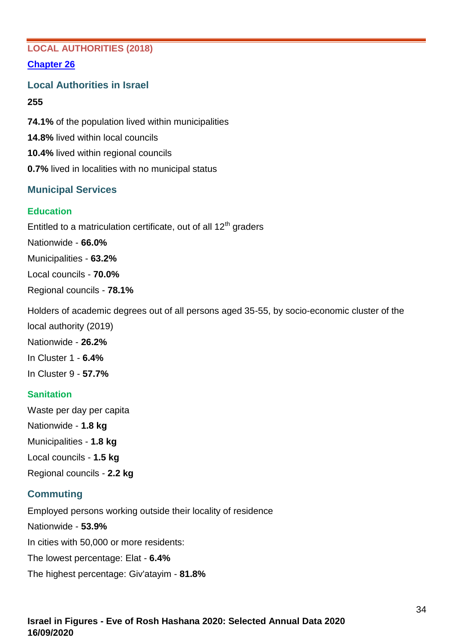# **LOCAL AUTHORITIES (2018)**

### **[Chapter 26](https://www.cbs.gov.il/en/publications/Pages/2020/Local-Authorities-Statistical-Abstract-of-Israel-2020-No.71.aspx)**

**Local Authorities in Israel**

#### **255**

**74.1%** of the population lived within municipalities **14.8%** lived within local councils **10.4%** lived within regional councils **0.7%** lived in localities with no municipal status

# **Municipal Services**

# **Education**

Entitled to a matriculation certificate, out of all 12<sup>th</sup> graders Nationwide - **66.0%** Municipalities - **63.2%**

Local councils - **70.0%**

Regional councils - **78.1%**

Holders of academic degrees out of all persons aged 35-55, by socio-economic cluster of the

local authority (2019) Nationwide - **26.2%**

In Cluster 1 - **6.4%**

In Cluster 9 - **57.7%**

# **Sanitation**

Waste per day per capita Nationwide - **1.8 kg** Municipalities - **1.8 kg** Local councils - **1.5 kg** Regional councils - **2.2 kg**

# **Commuting**

Employed persons working outside their locality of residence Nationwide - **53.9%** In cities with 50,000 or more residents: The lowest percentage: Elat - **6.4%** The highest percentage: Giv'atayim - **81.8%**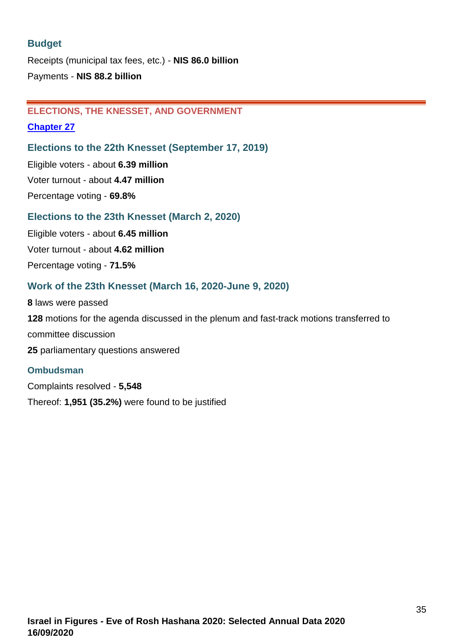# **Budget**

Receipts (municipal tax fees, etc.) - **NIS 86.0 billion** Payments - **NIS 88.2 billion**

# <span id="page-34-0"></span>**ELECTIONS, THE KNESSET, AND GOVERNMENT**

### **[Chapter 27](https://www.cbs.gov.il/en/publications/Pages/2020/Elections-and-the-Knesset-Statistical-Abstract-of-Israel-2020-No.-71.aspx)**

# **Elections to the 22th Knesset (September 17, 2019)**

Eligible voters - about **6.39 million** Voter turnout - about **4.47 million** Percentage voting - **69.8%**

# **Elections to the 23th Knesset (March 2, 2020)**

Eligible voters - about **6.45 million** Voter turnout - about **4.62 million** Percentage voting - **71.5%**

# **Work of the 23th Knesset (March 16, 2020-June 9, 2020)**

 laws were passed motions for the agenda discussed in the plenum and fast-track motions transferred to committee discussion parliamentary questions answered

# **Ombudsman**

<span id="page-34-1"></span>Complaints resolved - **5,548** Thereof: **1,951 (35.2%)** were found to be justified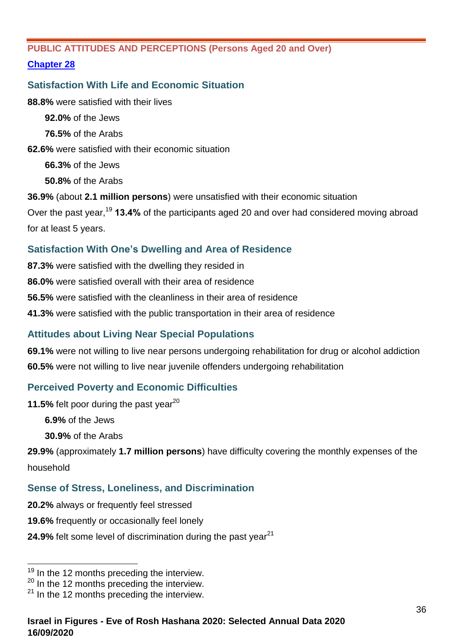# **PUBLIC ATTITUDES AND PERCEPTIONS (Persons Aged 20 and Over)**

# **[Chapter 28](https://www.cbs.gov.il/en/publications/Pages/2020/Public-and-Perceptions-Attitudes-%20Statistical-Abstract-of-Israel-2020-No.71.aspx)**

# **Satisfaction With Life and Economic Situation**

**88.8%** were satisfied with their lives

**92.0%** of the Jews

**76.5%** of the Arabs

**62.6%** were satisfied with their economic situation

**66.3%** of the Jews

**50.8%** of the Arabs

**36.9%** (about **2.1 million persons**) were unsatisfied with their economic situation

Over the past year,<sup>19</sup> **13.4%** of the participants aged 20 and over had considered moving abroad for at least 5 years.

# **Satisfaction With One's Dwelling and Area of Residence**

**87.3%** were satisfied with the dwelling they resided in

**86.0%** were satisfied overall with their area of residence

**56.5%** were satisfied with the cleanliness in their area of residence

**41.3%** were satisfied with the public transportation in their area of residence

# **Attitudes about Living Near Special Populations**

**69.1%** were not willing to live near persons undergoing rehabilitation for drug or alcohol addiction **60.5%** were not willing to live near juvenile offenders undergoing rehabilitation

# **Perceived Poverty and Economic Difficulties**

**11.5%** felt poor during the past year<sup>20</sup>

**6.9%** of the Jews

**30.9%** of the Arabs

**29.9%** (approximately **1.7 million persons**) have difficulty covering the monthly expenses of the household

# **Sense of Stress, Loneliness, and Discrimination**

- **20.2%** always or frequently feel stressed
- **19.6%** frequently or occasionally feel lonely
- **24.9%** felt some level of discrimination during the past year<sup>21</sup>

 $19$  In the 12 months preceding the interview.

<sup>&</sup>lt;sup>20</sup> In the 12 months preceding the interview.

<sup>&</sup>lt;sup>21</sup> In the 12 months preceding the interview.